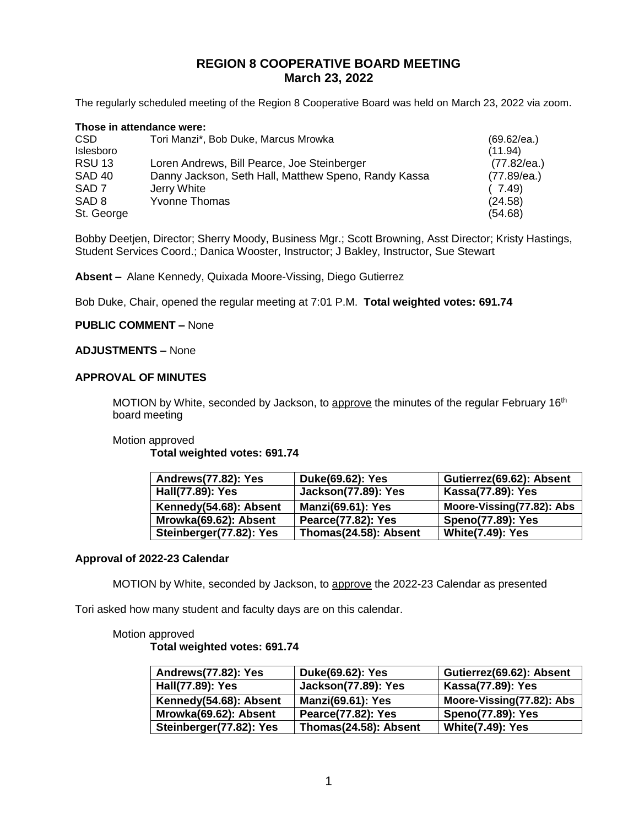# **REGION 8 COOPERATIVE BOARD MEETING March 23, 2022**

The regularly scheduled meeting of the Region 8 Cooperative Board was held on March 23, 2022 via zoom.

| Those in attendance were: |                                                      |                |  |
|---------------------------|------------------------------------------------------|----------------|--|
| CSD.                      | Tori Manzi*, Bob Duke, Marcus Mrowka                 | (69.62/ea.)    |  |
| Islesboro                 |                                                      | (11.94)        |  |
| <b>RSU 13</b>             | Loren Andrews, Bill Pearce, Joe Steinberger          | (77.82/ea.)    |  |
| <b>SAD 40</b>             | Danny Jackson, Seth Hall, Matthew Speno, Randy Kassa | $(77.89$ /ea.) |  |
| SAD <sub>7</sub>          | Jerry White                                          | (7.49)         |  |
| SAD <sub>8</sub>          | <b>Yvonne Thomas</b>                                 | (24.58)        |  |
| St. George                |                                                      | (54.68)        |  |

Bobby Deetjen, Director; Sherry Moody, Business Mgr.; Scott Browning, Asst Director; Kristy Hastings, Student Services Coord.; Danica Wooster, Instructor; J Bakley, Instructor, Sue Stewart

**Absent –** Alane Kennedy, Quixada Moore-Vissing, Diego Gutierrez

Bob Duke, Chair, opened the regular meeting at 7:01 P.M. **Total weighted votes: 691.74**

### **PUBLIC COMMENT –** None

### **ADJUSTMENTS –** None

### **APPROVAL OF MINUTES**

MOTION by White, seconded by Jackson, to approve the minutes of the regular February 16<sup>th</sup> board meeting

### Motion approved

### **Total weighted votes: 691.74**

| Andrews(77.82): Yes     | Duke(69.62): Yes           | Gutierrez(69.62): Absent  |
|-------------------------|----------------------------|---------------------------|
| Hall(77.89): Yes        | <b>Jackson(77.89): Yes</b> | Kassa(77.89): Yes         |
| Kennedy(54.68): Absent  | <b>Manzi(69.61): Yes</b>   | Moore-Vissing(77.82): Abs |
| Mrowka(69.62): Absent   | Pearce(77.82): Yes         | <b>Speno(77.89): Yes</b>  |
| Steinberger(77.82): Yes | Thomas(24.58): Absent      | <b>White(7.49): Yes</b>   |

### **Approval of 2022-23 Calendar**

MOTION by White, seconded by Jackson, to approve the 2022-23 Calendar as presented

Tori asked how many student and faculty days are on this calendar.

### Motion approved

**Total weighted votes: 691.74**

| Andrews(77.82): Yes     | Duke(69.62): Yes           | Gutierrez(69.62): Absent  |
|-------------------------|----------------------------|---------------------------|
| Hall(77.89): Yes        | <b>Jackson(77.89): Yes</b> | Kassa(77.89): Yes         |
| Kennedy(54.68): Absent  | <b>Manzi(69.61): Yes</b>   | Moore-Vissing(77.82): Abs |
| Mrowka(69.62): Absent   | Pearce(77.82): Yes         | <b>Speno(77.89): Yes</b>  |
| Steinberger(77.82): Yes | Thomas(24.58): Absent      | <b>White(7.49): Yes</b>   |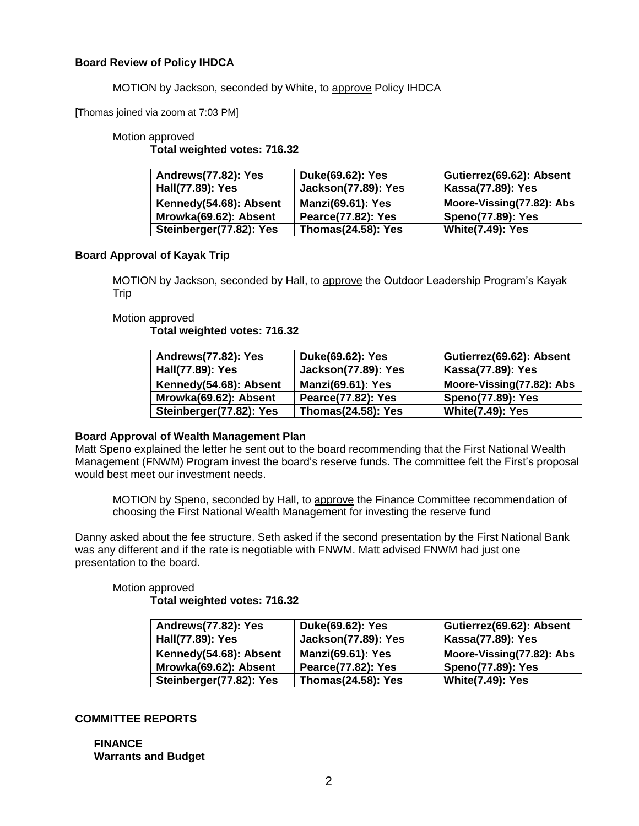## **Board Review of Policy IHDCA**

MOTION by Jackson, seconded by White, to approve Policy IHDCA

[Thomas joined via zoom at 7:03 PM]

## Motion approved

**Total weighted votes: 716.32**

| Andrews(77.82): Yes     | Duke(69.62): Yes          | Gutierrez(69.62): Absent  |
|-------------------------|---------------------------|---------------------------|
| Hall(77.89): Yes        | Jackson(77.89): Yes       | Kassa(77.89): Yes         |
| Kennedy(54.68): Absent  | <b>Manzi(69.61): Yes</b>  | Moore-Vissing(77.82): Abs |
| Mrowka(69.62): Absent   | Pearce(77.82): Yes        | <b>Speno(77.89): Yes</b>  |
| Steinberger(77.82): Yes | <b>Thomas(24.58): Yes</b> | <b>White(7.49): Yes</b>   |

## **Board Approval of Kayak Trip**

MOTION by Jackson, seconded by Hall, to approve the Outdoor Leadership Program's Kayak Trip

## Motion approved

**Total weighted votes: 716.32**

| Andrews(77.82): Yes     | Duke(69.62): Yes           | Gutierrez(69.62): Absent  |
|-------------------------|----------------------------|---------------------------|
| Hall(77.89): Yes        | <b>Jackson(77.89): Yes</b> | Kassa(77.89): Yes         |
| Kennedy(54.68): Absent  | <b>Manzi(69.61): Yes</b>   | Moore-Vissing(77.82): Abs |
| Mrowka(69.62): Absent   | Pearce(77.82): Yes         | Speno(77.89): Yes         |
| Steinberger(77.82): Yes | <b>Thomas(24.58): Yes</b>  | <b>White(7.49): Yes</b>   |

## **Board Approval of Wealth Management Plan**

Matt Speno explained the letter he sent out to the board recommending that the First National Wealth Management (FNWM) Program invest the board's reserve funds. The committee felt the First's proposal would best meet our investment needs.

MOTION by Speno, seconded by Hall, to approve the Finance Committee recommendation of choosing the First National Wealth Management for investing the reserve fund

Danny asked about the fee structure. Seth asked if the second presentation by the First National Bank was any different and if the rate is negotiable with FNWM. Matt advised FNWM had just one presentation to the board.

Motion approved

**Total weighted votes: 716.32**

| Andrews(77.82): Yes     | Duke(69.62): Yes           | Gutierrez(69.62): Absent  |
|-------------------------|----------------------------|---------------------------|
| Hall(77.89): Yes        | <b>Jackson(77.89): Yes</b> | Kassa(77.89): Yes         |
| Kennedy(54.68): Absent  | <b>Manzi(69.61): Yes</b>   | Moore-Vissing(77.82): Abs |
| Mrowka(69.62): Absent   | Pearce(77.82): Yes         | <b>Speno(77.89): Yes</b>  |
| Steinberger(77.82): Yes | <b>Thomas(24.58): Yes</b>  | <b>White(7.49): Yes</b>   |

## **COMMITTEE REPORTS**

**FINANCE Warrants and Budget**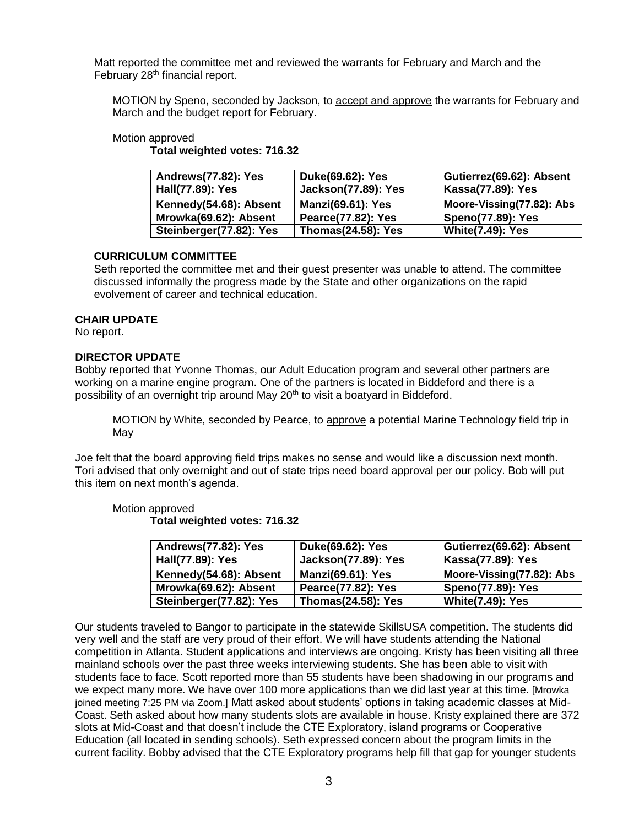Matt reported the committee met and reviewed the warrants for February and March and the February 28<sup>th</sup> financial report.

MOTION by Speno, seconded by Jackson, to accept and approve the warrants for February and March and the budget report for February.

### Motion approved

**Total weighted votes: 716.32**

| Andrews(77.82): Yes     | Duke(69.62): Yes           | Gutierrez(69.62): Absent  |
|-------------------------|----------------------------|---------------------------|
| Hall(77.89): Yes        | <b>Jackson(77.89): Yes</b> | Kassa(77.89): Yes         |
| Kennedy(54.68): Absent  | <b>Manzi(69.61): Yes</b>   | Moore-Vissing(77.82): Abs |
| Mrowka(69.62): Absent   | <b>Pearce(77.82): Yes</b>  | <b>Speno(77.89): Yes</b>  |
| Steinberger(77.82): Yes | <b>Thomas(24.58): Yes</b>  | <b>White(7.49): Yes</b>   |

## **CURRICULUM COMMITTEE**

Seth reported the committee met and their guest presenter was unable to attend. The committee discussed informally the progress made by the State and other organizations on the rapid evolvement of career and technical education.

### **CHAIR UPDATE**

No report.

## **DIRECTOR UPDATE**

Bobby reported that Yvonne Thomas, our Adult Education program and several other partners are working on a marine engine program. One of the partners is located in Biddeford and there is a possibility of an overnight trip around May 20<sup>th</sup> to visit a boatyard in Biddeford.

MOTION by White, seconded by Pearce, to approve a potential Marine Technology field trip in May

Joe felt that the board approving field trips makes no sense and would like a discussion next month. Tori advised that only overnight and out of state trips need board approval per our policy. Bob will put this item on next month's agenda.

#### Motion approved **Total weighted votes: 716.32**

| Andrews(77.82): Yes     | Duke(69.62): Yes           | Gutierrez(69.62): Absent  |
|-------------------------|----------------------------|---------------------------|
| Hall(77.89): Yes        | <b>Jackson(77.89): Yes</b> | Kassa(77.89): Yes         |
| Kennedy(54.68): Absent  | <b>Manzi(69.61): Yes</b>   | Moore-Vissing(77.82): Abs |
| Mrowka(69.62): Absent   | <b>Pearce(77.82): Yes</b>  | <b>Speno(77.89): Yes</b>  |
| Steinberger(77.82): Yes | <b>Thomas(24.58): Yes</b>  | <b>White(7.49): Yes</b>   |

Our students traveled to Bangor to participate in the statewide SkillsUSA competition. The students did very well and the staff are very proud of their effort. We will have students attending the National competition in Atlanta. Student applications and interviews are ongoing. Kristy has been visiting all three mainland schools over the past three weeks interviewing students. She has been able to visit with students face to face. Scott reported more than 55 students have been shadowing in our programs and we expect many more. We have over 100 more applications than we did last year at this time. [Mrowka joined meeting 7:25 PM via Zoom.] Matt asked about students' options in taking academic classes at Mid-Coast. Seth asked about how many students slots are available in house. Kristy explained there are 372 slots at Mid-Coast and that doesn't include the CTE Exploratory, island programs or Cooperative Education (all located in sending schools). Seth expressed concern about the program limits in the current facility. Bobby advised that the CTE Exploratory programs help fill that gap for younger students